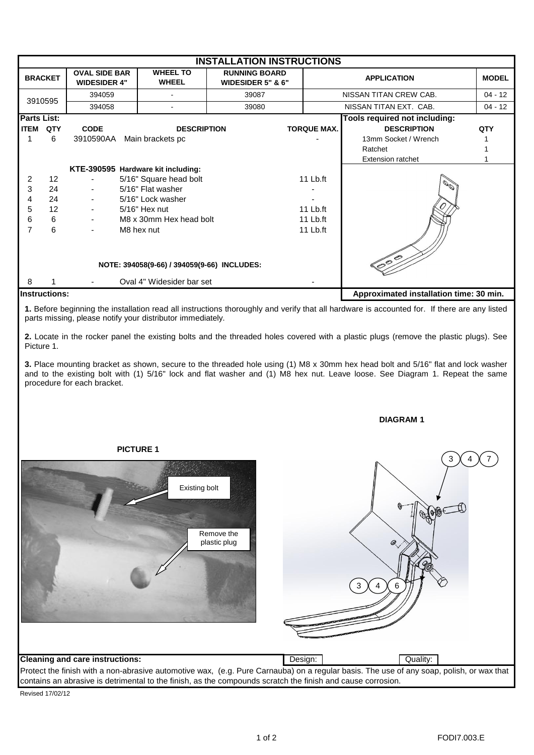| <b>INSTALLATION INSTRUCTIONS</b>            |                 |                                             |                                 |                                           |            |                        |                                         |              |
|---------------------------------------------|-----------------|---------------------------------------------|---------------------------------|-------------------------------------------|------------|------------------------|-----------------------------------------|--------------|
| <b>BRACKET</b>                              |                 | <b>OVAL SIDE BAR</b><br><b>WIDESIDER 4"</b> | <b>WHEEL TO</b><br><b>WHEEL</b> | <b>RUNNING BOARD</b><br>WIDESIDER 5" & 6" |            | <b>APPLICATION</b>     |                                         | <b>MODEL</b> |
| 3910595                                     |                 | 394059                                      |                                 | 39087                                     |            | NISSAN TITAN CREW CAB. |                                         | $04 - 12$    |
|                                             |                 | 394058                                      |                                 | 39080                                     |            |                        | NISSAN TITAN EXT. CAB.                  | $04 - 12$    |
| <b>Parts List:</b>                          |                 |                                             |                                 |                                           |            |                        | Tools required not including:           |              |
| <b>ITEM</b>                                 | QTY             | <b>CODE</b>                                 | <b>DESCRIPTION</b>              |                                           |            | <b>TORQUE MAX.</b>     | <b>DESCRIPTION</b>                      | <b>QTY</b>   |
|                                             | 6               | 3910590AA                                   | Main brackets pc                |                                           |            |                        | 13mm Socket / Wrench                    |              |
|                                             |                 |                                             |                                 |                                           |            |                        | Ratchet                                 |              |
|                                             |                 |                                             |                                 |                                           |            |                        | <b>Extension ratchet</b>                |              |
| KTE-390595 Hardware kit including:          |                 |                                             |                                 |                                           |            |                        |                                         |              |
| 2                                           | 12 <sup>2</sup> | 5/16" Square head bolt                      |                                 |                                           |            | 11 Lb.ft               |                                         |              |
| 3                                           | 24              | 5/16" Flat washer                           |                                 |                                           |            |                        | $\mathcal{O}^{\mathcal{O}}$             |              |
| 4                                           | 24              | $\overline{\phantom{a}}$                    | 5/16" Lock washer               |                                           |            |                        |                                         |              |
| 5                                           | 12              | $\overline{\phantom{a}}$                    | 5/16" Hex nut                   |                                           |            | $11$ Lb.ft             |                                         |              |
| 6                                           | 6               | M8 x 30mm Hex head bolt                     |                                 |                                           | $11$ Lb.ft |                        |                                         |              |
|                                             | 6               |                                             | M8 hex nut                      |                                           |            | $11$ Lb.ft             |                                         |              |
| NOTE: 394058(9-66) / 394059(9-66) INCLUDES: |                 |                                             |                                 |                                           |            |                        | 000                                     |              |
| 8                                           |                 |                                             | Oval 4" Widesider bar set       |                                           |            |                        |                                         |              |
| <b>Instructions:</b>                        |                 |                                             |                                 |                                           |            |                        | Approximated installation time: 30 min. |              |

**1.** Before beginning the installation read all instructions thoroughly and verify that all hardware is accounted for. If there are any listed parts missing, please notify your distributor immediately.

**2.** Locate in the rocker panel the existing bolts and the threaded holes covered with a plastic plugs (remove the plastic plugs). See Picture 1.

**3.** Place mounting bracket as shown, secure to the threaded hole using (1) M8 x 30mm hex head bolt and 5/16" flat and lock washer and to the existing bolt with (1) 5/16" lock and flat washer and (1) M8 hex nut. Leave loose. See Diagram 1. Repeat the same procedure for each bracket.

## **DIAGRAM 1**



Revised 17/02/12